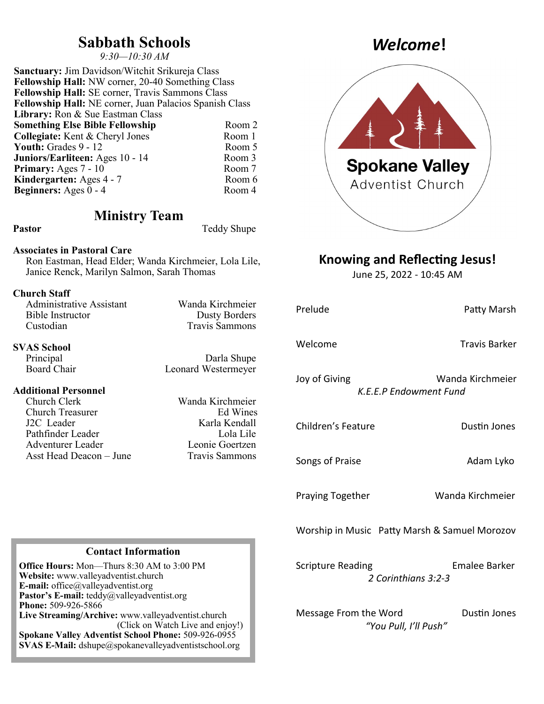### **Sabbath Schools**

*9:30—10:30 AM*

**Sanctuary:** Jim Davidson/Witchit Srikureja Class **Fellowship Hall:** NW corner, 20-40 Something Class **Fellowship Hall:** SE corner, Travis Sammons Class **Fellowship Hall:** NE corner, Juan Palacios Spanish Class Library: Ron & Sue Eastman Class **Something Else Bible Fellowship** Room 2 **Collegiate:** Kent & Cheryl Jones Room 1<br> **Youth:** Grades 9 - 12 Room 5 **Youth:** Grades 9 - 12 **Juniors/Earliteen:** Ages 10 - 14 Room 3<br> **Primary:** Ages 7 - 10 Room 7 **Primary:** Ages 7 - 10 **Kindergarten:** Ages 4 - 7 Room 6<br> **Reginners:** Ages 0 - 4 Room 4 **Beginners:** Ages  $0 - 4$ 

### **Ministry Team**

Pastor Teddy Shupe

#### **Associates in Pastoral Care**

Ron Eastman, Head Elder; Wanda Kirchmeier, Lola Lile, Janice Renck, Marilyn Salmon, Sarah Thomas

#### **Church Staff**

| Administrative Assistant | Wanda Kirchmeier     |
|--------------------------|----------------------|
| Bible Instructor         | <b>Dusty Borders</b> |
| Custodian                | Travis Sammons       |

# **SVAS School**

#### **Additional Personnel**

Church Clerk Wanda Kirchmeier Church Treasurer J2C Leader Karla Kendall Pathfinder Leader Lola Lile Adventurer Leader Leonie Goertzen Asst Head Deacon – June Travis Sammons

Darla Shupe Board Chair Leonard Westermeyer

**Spokane Valley** Adventist Church

### **Knowing and Reflecting Jesus!**

June 25, 2022 - 10:45 AM

| Prelude                                       | Patty Marsh                                 |
|-----------------------------------------------|---------------------------------------------|
| Welcome                                       | Travis Barker                               |
| Joy of Giving                                 | Wanda Kirchmeier<br>K.E.E.P Endowment Fund  |
| Children's Feature                            | <b>Dustin Jones</b>                         |
| Songs of Praise                               | Adam Lyko                                   |
| <b>Praying Together</b>                       | Wanda Kirchmeier                            |
| Worship in Music Patty Marsh & Samuel Morozov |                                             |
| <b>Scripture Reading</b>                      | <b>Emalee Barker</b><br>2 Corinthians 3:2-3 |
| Message From the Word                         | Dustin Jones<br>"You Pull, I'll Push"       |

### **Contact Information**

**Office Hours:** Mon—Thurs 8:30 AM to 3:00 PM **Website:** www.valleyadventist.church **E-mail:** office@valleyadventist.org **Pastor's E-mail:** teddy@valleyadventist.org **Phone:** 509-926-5866 **Live Streaming/Archive:** www.valleyadventist.church (Click on Watch Live and enjoy!) **Spokane Valley Adventist School Phone:** 509-926-0955 **SVAS E-Mail:** dshupe@spokanevalleyadventistschool.org

## *Welcome***!**